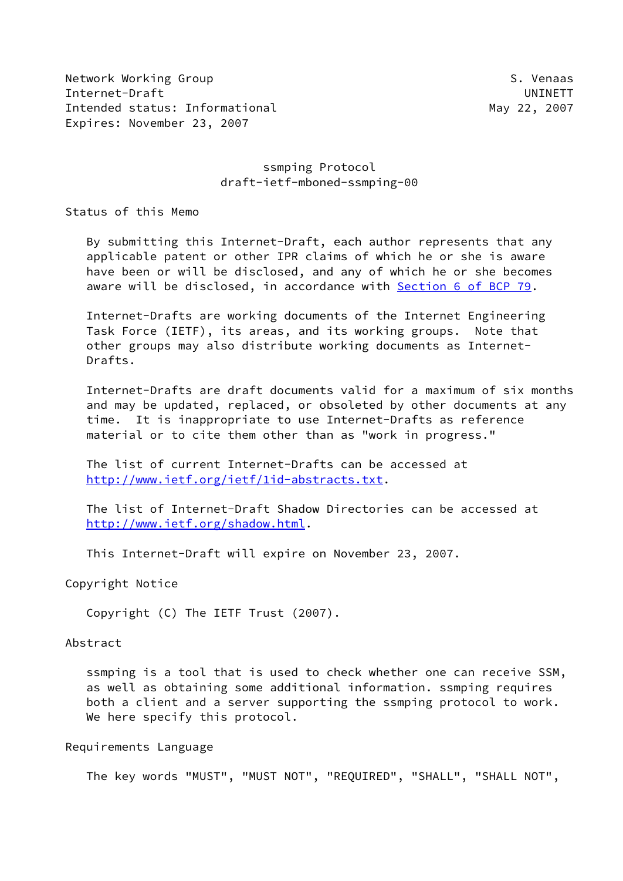Network Working Group S. Venaas Internet-Draft UNINETT Intended status: Informational and May 22, 2007 Expires: November 23, 2007

### ssmping Protocol draft-ietf-mboned-ssmping-00

Status of this Memo

 By submitting this Internet-Draft, each author represents that any applicable patent or other IPR claims of which he or she is aware have been or will be disclosed, and any of which he or she becomes aware will be disclosed, in accordance with Section [6 of BCP 79.](https://datatracker.ietf.org/doc/pdf/bcp79#section-6)

 Internet-Drafts are working documents of the Internet Engineering Task Force (IETF), its areas, and its working groups. Note that other groups may also distribute working documents as Internet- Drafts.

 Internet-Drafts are draft documents valid for a maximum of six months and may be updated, replaced, or obsoleted by other documents at any time. It is inappropriate to use Internet-Drafts as reference material or to cite them other than as "work in progress."

 The list of current Internet-Drafts can be accessed at <http://www.ietf.org/ietf/1id-abstracts.txt>.

 The list of Internet-Draft Shadow Directories can be accessed at <http://www.ietf.org/shadow.html>.

This Internet-Draft will expire on November 23, 2007.

Copyright Notice

Copyright (C) The IETF Trust (2007).

#### Abstract

 ssmping is a tool that is used to check whether one can receive SSM, as well as obtaining some additional information. ssmping requires both a client and a server supporting the ssmping protocol to work. We here specify this protocol.

#### Requirements Language

The key words "MUST", "MUST NOT", "REQUIRED", "SHALL", "SHALL NOT",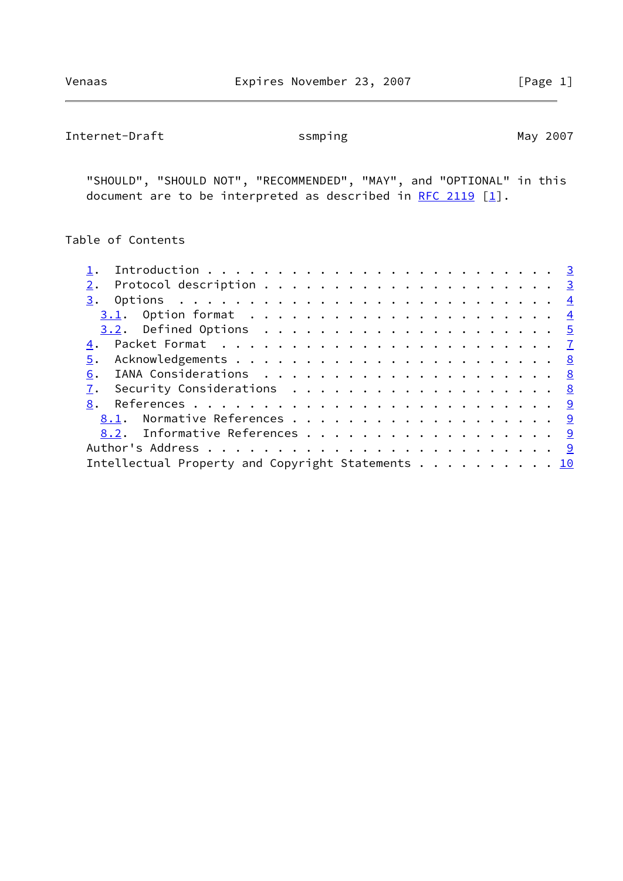Internet-Draft ssmping Samping May 2007

 "SHOULD", "SHOULD NOT", "RECOMMENDED", "MAY", and "OPTIONAL" in this document are to be interpreted as described in [RFC 2119](https://datatracker.ietf.org/doc/pdf/rfc2119)  $[1]$  $[1]$ .

# Table of Contents

| 2.                                                |  |
|---------------------------------------------------|--|
|                                                   |  |
|                                                   |  |
|                                                   |  |
|                                                   |  |
| 5.                                                |  |
| 6.                                                |  |
| 7. Security Considerations 8                      |  |
|                                                   |  |
|                                                   |  |
| 8.2. Informative References 9                     |  |
|                                                   |  |
| Intellectual Property and Copyright Statements 10 |  |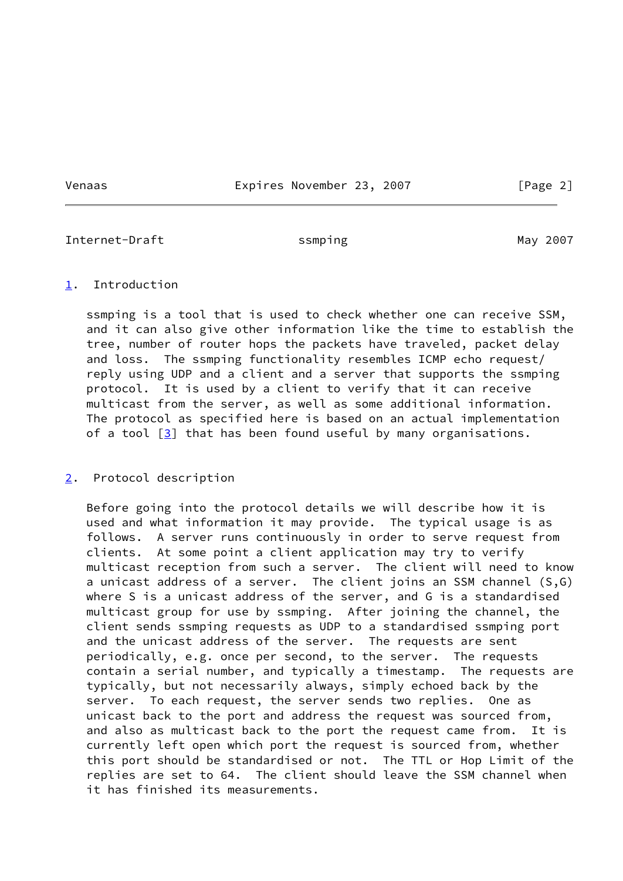Venaas **Expires November 23, 2007** [Page 2]

<span id="page-2-1"></span>Internet-Draft ssmping Samping May 2007

#### <span id="page-2-0"></span>[1](#page-2-0). Introduction

 ssmping is a tool that is used to check whether one can receive SSM, and it can also give other information like the time to establish the tree, number of router hops the packets have traveled, packet delay and loss. The ssmping functionality resembles ICMP echo request/ reply using UDP and a client and a server that supports the ssmping protocol. It is used by a client to verify that it can receive multicast from the server, as well as some additional information. The protocol as specified here is based on an actual implementation of a tool  $\lceil 3 \rceil$  that has been found useful by many organisations.

### <span id="page-2-2"></span>[2](#page-2-2). Protocol description

 Before going into the protocol details we will describe how it is used and what information it may provide. The typical usage is as follows. A server runs continuously in order to serve request from clients. At some point a client application may try to verify multicast reception from such a server. The client will need to know a unicast address of a server. The client joins an SSM channel (S,G) where S is a unicast address of the server, and G is a standardised multicast group for use by ssmping. After joining the channel, the client sends ssmping requests as UDP to a standardised ssmping port and the unicast address of the server. The requests are sent periodically, e.g. once per second, to the server. The requests contain a serial number, and typically a timestamp. The requests are typically, but not necessarily always, simply echoed back by the server. To each request, the server sends two replies. One as unicast back to the port and address the request was sourced from, and also as multicast back to the port the request came from. It is currently left open which port the request is sourced from, whether this port should be standardised or not. The TTL or Hop Limit of the replies are set to 64. The client should leave the SSM channel when it has finished its measurements.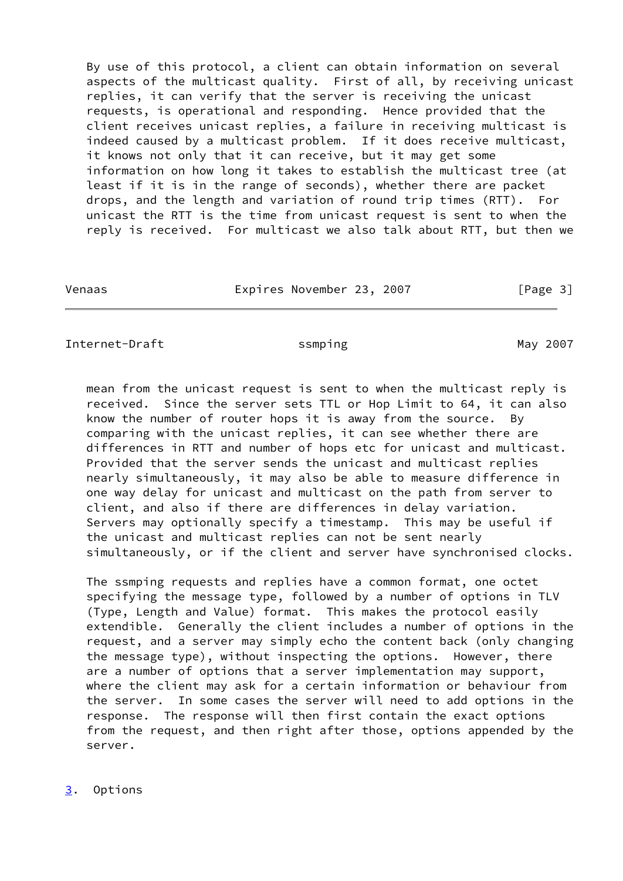By use of this protocol, a client can obtain information on several aspects of the multicast quality. First of all, by receiving unicast replies, it can verify that the server is receiving the unicast requests, is operational and responding. Hence provided that the client receives unicast replies, a failure in receiving multicast is indeed caused by a multicast problem. If it does receive multicast, it knows not only that it can receive, but it may get some information on how long it takes to establish the multicast tree (at least if it is in the range of seconds), whether there are packet drops, and the length and variation of round trip times (RTT). For unicast the RTT is the time from unicast request is sent to when the reply is received. For multicast we also talk about RTT, but then we

Venaas **Expires November 23, 2007** [Page 3]

<span id="page-3-1"></span>Internet-Draft ssmping Samping May 2007

 mean from the unicast request is sent to when the multicast reply is received. Since the server sets TTL or Hop Limit to 64, it can also know the number of router hops it is away from the source. By comparing with the unicast replies, it can see whether there are differences in RTT and number of hops etc for unicast and multicast. Provided that the server sends the unicast and multicast replies nearly simultaneously, it may also be able to measure difference in one way delay for unicast and multicast on the path from server to client, and also if there are differences in delay variation. Servers may optionally specify a timestamp. This may be useful if the unicast and multicast replies can not be sent nearly simultaneously, or if the client and server have synchronised clocks.

 The ssmping requests and replies have a common format, one octet specifying the message type, followed by a number of options in TLV (Type, Length and Value) format. This makes the protocol easily extendible. Generally the client includes a number of options in the request, and a server may simply echo the content back (only changing the message type), without inspecting the options. However, there are a number of options that a server implementation may support, where the client may ask for a certain information or behaviour from the server. In some cases the server will need to add options in the response. The response will then first contain the exact options from the request, and then right after those, options appended by the server.

<span id="page-3-0"></span>[3](#page-3-0). Options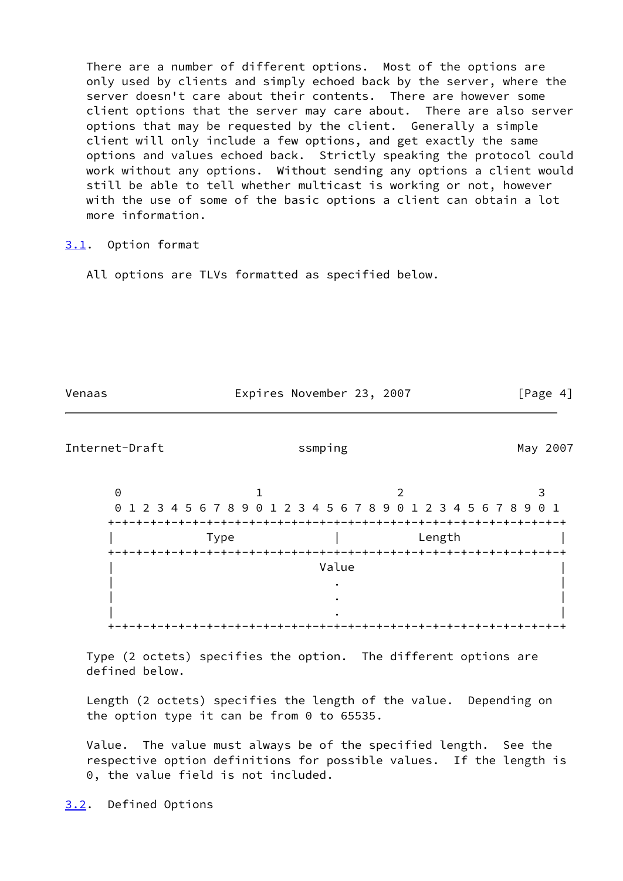There are a number of different options. Most of the options are only used by clients and simply echoed back by the server, where the server doesn't care about their contents. There are however some client options that the server may care about. There are also server options that may be requested by the client. Generally a simple client will only include a few options, and get exactly the same options and values echoed back. Strictly speaking the protocol could work without any options. Without sending any options a client would still be able to tell whether multicast is working or not, however with the use of some of the basic options a client can obtain a lot more information.

#### <span id="page-4-0"></span>[3.1](#page-4-0). Option format

All options are TLVs formatted as specified below.

<span id="page-4-2"></span>

| Venaas               | Expires November 23, 2007                                          | [Page $4$ ]<br>May 2007 |
|----------------------|--------------------------------------------------------------------|-------------------------|
| Internet-Draft       | ssmping                                                            |                         |
| $\Theta$<br>$\Theta$ | 2<br>1 2 3 4 5 6 7 8 9 0 1 2 3 4 5 6 7 8 9 0 1 2 3 4 5 6 7 8 9 0 1 | З                       |
|                      | Length<br>Type                                                     |                         |
|                      | Value                                                              |                         |
|                      |                                                                    |                         |
|                      |                                                                    |                         |
| $+ - + - +$          | -+-+-+-+-+-+-+-+-+-<br>-+-+-+-+-+-+-+-+-                           |                         |
|                      |                                                                    |                         |

 Type (2 octets) specifies the option. The different options are defined below.

 Length (2 octets) specifies the length of the value. Depending on the option type it can be from 0 to 65535.

 Value. The value must always be of the specified length. See the respective option definitions for possible values. If the length is 0, the value field is not included.

<span id="page-4-1"></span>[3.2](#page-4-1). Defined Options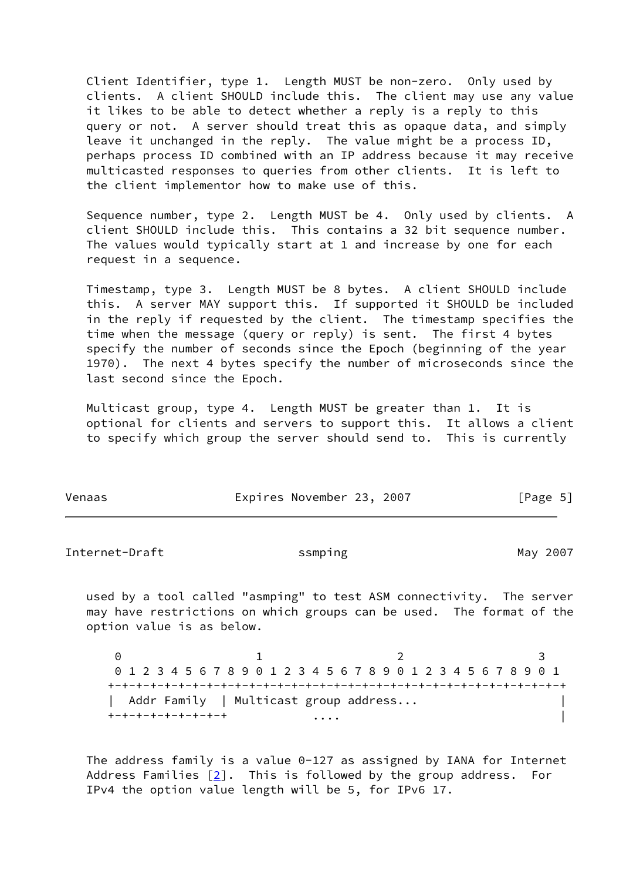Client Identifier, type 1. Length MUST be non-zero. Only used by clients. A client SHOULD include this. The client may use any value it likes to be able to detect whether a reply is a reply to this query or not. A server should treat this as opaque data, and simply leave it unchanged in the reply. The value might be a process ID, perhaps process ID combined with an IP address because it may receive multicasted responses to queries from other clients. It is left to the client implementor how to make use of this.

 Sequence number, type 2. Length MUST be 4. Only used by clients. A client SHOULD include this. This contains a 32 bit sequence number. The values would typically start at 1 and increase by one for each request in a sequence.

 Timestamp, type 3. Length MUST be 8 bytes. A client SHOULD include this. A server MAY support this. If supported it SHOULD be included in the reply if requested by the client. The timestamp specifies the time when the message (query or reply) is sent. The first 4 bytes specify the number of seconds since the Epoch (beginning of the year 1970). The next 4 bytes specify the number of microseconds since the last second since the Epoch.

 Multicast group, type 4. Length MUST be greater than 1. It is optional for clients and servers to support this. It allows a client to specify which group the server should send to. This is currently

| Venaas | Expires November 23, 2007 |  | [Page 5] |
|--------|---------------------------|--|----------|
|        |                           |  |          |

Internet-Draft ssmping and strategies of the strategies of the May 2007

 used by a tool called "asmping" to test ASM connectivity. The server may have restrictions on which groups can be used. The format of the option value is as below.

0 1 2 3 0 1 2 3 4 5 6 7 8 9 0 1 2 3 4 5 6 7 8 9 0 1 2 3 4 5 6 7 8 9 0 1 +-+-+-+-+-+-+-+-+-+-+-+-+-+-+-+-+-+-+-+-+-+-+-+-+-+-+-+-+-+-+-+-+ | Addr Family | Multicast group address... | +-+-+-+-+-+-+-+-+ .... |

The address family is a value  $0-127$  as assigned by IANA for Internet Address Families  $[2]$ . This is followed by the group address. For IPv4 the option value length will be 5, for IPv6 17.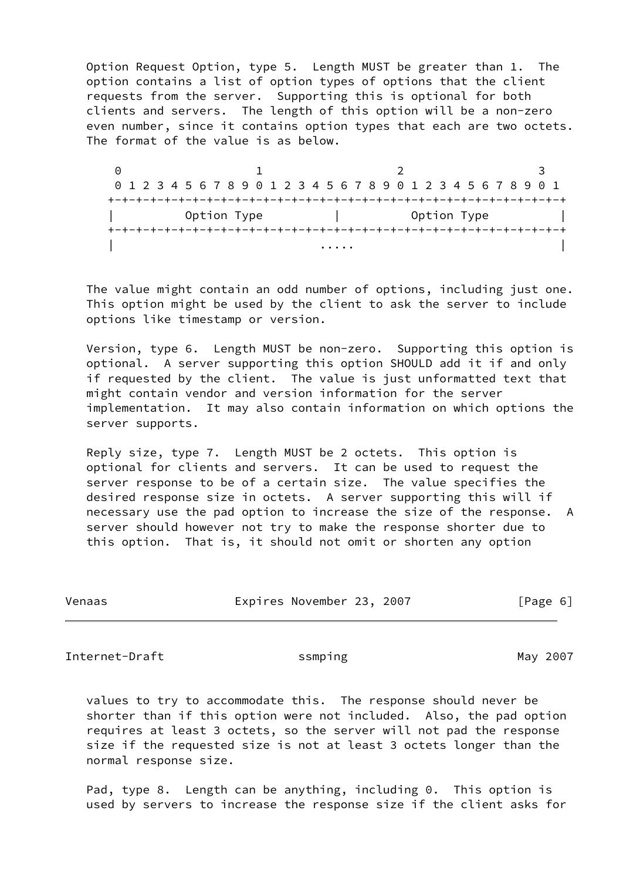Option Request Option, type 5. Length MUST be greater than 1. The option contains a list of option types of options that the client requests from the server. Supporting this is optional for both clients and servers. The length of this option will be a non-zero even number, since it contains option types that each are two octets. The format of the value is as below.

0 1 2 3 0 1 2 3 4 5 6 7 8 9 0 1 2 3 4 5 6 7 8 9 0 1 2 3 4 5 6 7 8 9 0 1 +-+-+-+-+-+-+-+-+-+-+-+-+-+-+-+-+-+-+-+-+-+-+-+-+-+-+-+-+-+-+-+-+ Option Type  $|$  Option Type +-+-+-+-+-+-+-+-+-+-+-+-+-+-+-+-+-+-+-+-+-+-+-+-+-+-+-+-+-+-+-+-+ | .... | .... | .... | .... | .... | .... | .... | .... | .... | .... | .... | .... | .... | .... | .... | ...

 The value might contain an odd number of options, including just one. This option might be used by the client to ask the server to include options like timestamp or version.

 Version, type 6. Length MUST be non-zero. Supporting this option is optional. A server supporting this option SHOULD add it if and only if requested by the client. The value is just unformatted text that might contain vendor and version information for the server implementation. It may also contain information on which options the server supports.

 Reply size, type 7. Length MUST be 2 octets. This option is optional for clients and servers. It can be used to request the server response to be of a certain size. The value specifies the desired response size in octets. A server supporting this will if necessary use the pad option to increase the size of the response. A server should however not try to make the response shorter due to this option. That is, it should not omit or shorten any option

| Venaas | Expires November 23, 2007 |  | [Page 6] |
|--------|---------------------------|--|----------|
|        |                           |  |          |

<span id="page-6-0"></span>Internet-Draft ssmping and state May 2007

 values to try to accommodate this. The response should never be shorter than if this option were not included. Also, the pad option requires at least 3 octets, so the server will not pad the response size if the requested size is not at least 3 octets longer than the normal response size.

 Pad, type 8. Length can be anything, including 0. This option is used by servers to increase the response size if the client asks for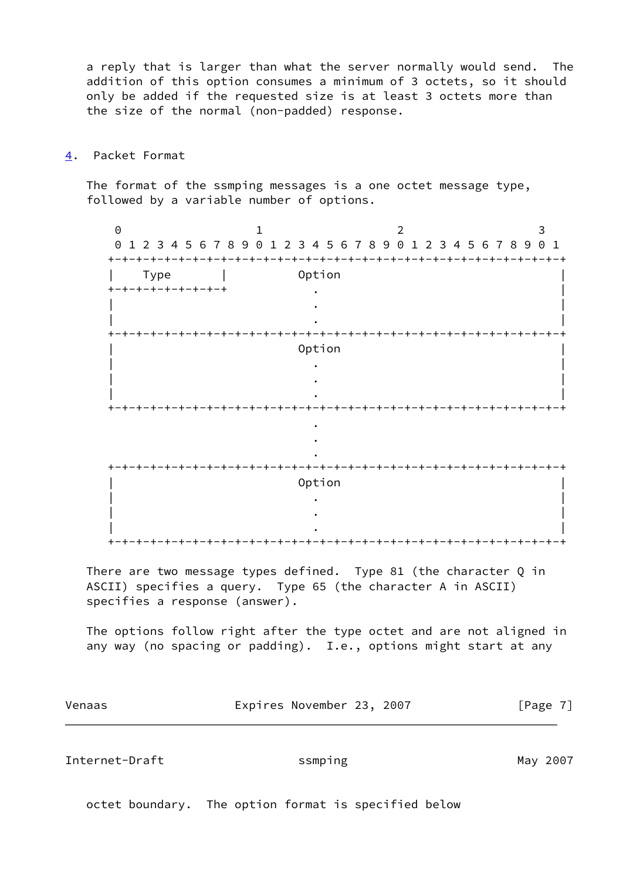a reply that is larger than what the server normally would send. The addition of this option consumes a minimum of 3 octets, so it should only be added if the requested size is at least 3 octets more than the size of the normal (non-padded) response.

<span id="page-7-0"></span>[4](#page-7-0). Packet Format

 The format of the ssmping messages is a one octet message type, followed by a variable number of options.

0 1 2 3 0 1 2 3 4 5 6 7 8 9 0 1 2 3 4 5 6 7 8 9 0 1 2 3 4 5 6 7 8 9 0 1 +-+-+-+-+-+-+-+-+-+-+-+-+-+-+-+-+-+-+-+-+-+-+-+-+-+-+-+-+-+-+-+-+ | Type | Option | +-+-+-+-+-+-+-+-+ . | | . | | . | +-+-+-+-+-+-+-+-+-+-+-+-+-+-+-+-+-+-+-+-+-+-+-+-+-+-+-+-+-+-+-+-+ | Option | | . | | . | | . | +-+-+-+-+-+-+-+-+-+-+-+-+-+-+-+-+-+-+-+-+-+-+-+-+-+-+-+-+-+-+-+-+ <u>. In the second contract of the second contract of the second contract of the second contract of the second contract of the second contract of the second contract of the second contract of the second contract of the secon</u> <u>. In the second contract of the second contract of the second contract of the second contract of the second contract of the second contract of the second contract of the second contract of the second contract of the secon</u> <u>. In the second contract of the second contract of the second contract of the second contract of the second contract of the second contract of the second contract of the second contract of the second contract of the secon</u> +-+-+-+-+-+-+-+-+-+-+-+-+-+-+-+-+-+-+-+-+-+-+-+-+-+-+-+-+-+-+-+-+ | Option | | . | | . | | . | +-+-+-+-+-+-+-+-+-+-+-+-+-+-+-+-+-+-+-+-+-+-+-+-+-+-+-+-+-+-+-+-+

There are two message types defined. Type 81 (the character Q in ASCII) specifies a query. Type 65 (the character A in ASCII) specifies a response (answer).

 The options follow right after the type octet and are not aligned in any way (no spacing or padding). I.e., options might start at any

| Venaas | Expires November 23, 2007 | [Page 7] |
|--------|---------------------------|----------|
|        |                           |          |

<span id="page-7-1"></span>Internet-Draft ssmping Samping May 2007

octet boundary. The option format is specified below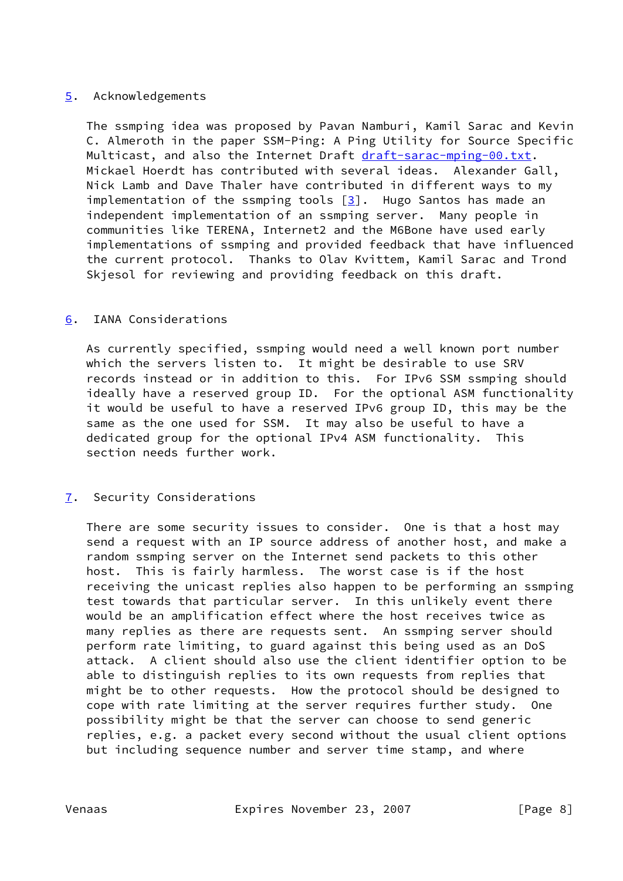## <span id="page-8-0"></span>[5](#page-8-0). Acknowledgements

 The ssmping idea was proposed by Pavan Namburi, Kamil Sarac and Kevin C. Almeroth in the paper SSM-Ping: A Ping Utility for Source Specific Multicast, and also the Internet Draft [draft-sarac-mping-00.txt.](https://datatracker.ietf.org/doc/pdf/draft-sarac-mping-00.txt) Mickael Hoerdt has contributed with several ideas. Alexander Gall, Nick Lamb and Dave Thaler have contributed in different ways to my implementation of the ssmping tools  $\lceil 3 \rceil$ . Hugo Santos has made an independent implementation of an ssmping server. Many people in communities like TERENA, Internet2 and the M6Bone have used early implementations of ssmping and provided feedback that have influenced the current protocol. Thanks to Olav Kvittem, Kamil Sarac and Trond Skjesol for reviewing and providing feedback on this draft.

## <span id="page-8-1"></span>[6](#page-8-1). IANA Considerations

 As currently specified, ssmping would need a well known port number which the servers listen to. It might be desirable to use SRV records instead or in addition to this. For IPv6 SSM ssmping should ideally have a reserved group ID. For the optional ASM functionality it would be useful to have a reserved IPv6 group ID, this may be the same as the one used for SSM. It may also be useful to have a dedicated group for the optional IPv4 ASM functionality. This section needs further work.

# <span id="page-8-2"></span>[7](#page-8-2). Security Considerations

 There are some security issues to consider. One is that a host may send a request with an IP source address of another host, and make a random ssmping server on the Internet send packets to this other host. This is fairly harmless. The worst case is if the host receiving the unicast replies also happen to be performing an ssmping test towards that particular server. In this unlikely event there would be an amplification effect where the host receives twice as many replies as there are requests sent. An ssmping server should perform rate limiting, to guard against this being used as an DoS attack. A client should also use the client identifier option to be able to distinguish replies to its own requests from replies that might be to other requests. How the protocol should be designed to cope with rate limiting at the server requires further study. One possibility might be that the server can choose to send generic replies, e.g. a packet every second without the usual client options but including sequence number and server time stamp, and where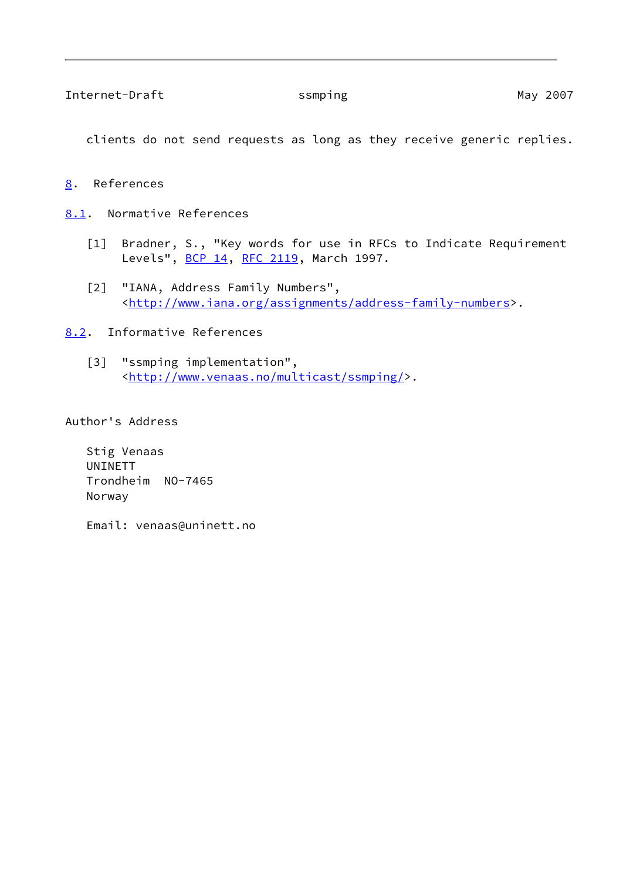<span id="page-9-2"></span>clients do not send requests as long as they receive generic replies.

<span id="page-9-1"></span>[8](#page-9-1). References

<span id="page-9-3"></span>[8.1](#page-9-3). Normative References

- <span id="page-9-0"></span> [1] Bradner, S., "Key words for use in RFCs to Indicate Requirement Levels", [BCP 14](https://datatracker.ietf.org/doc/pdf/bcp14), [RFC 2119](https://datatracker.ietf.org/doc/pdf/rfc2119), March 1997.
- <span id="page-9-6"></span>[2] "IANA, Address Family Numbers", [<http://www.iana.org/assignments/address-family-numbers](http://www.iana.org/assignments/address-family-numbers)>.
- <span id="page-9-5"></span><span id="page-9-4"></span>[8.2](#page-9-4). Informative References
	- [3] "ssmping implementation", [<http://www.venaas.no/multicast/ssmping/](http://www.venaas.no/multicast/ssmping/)>.

Author's Address

 Stig Venaas UNINETT Trondheim NO-7465 Norway

Email: venaas@uninett.no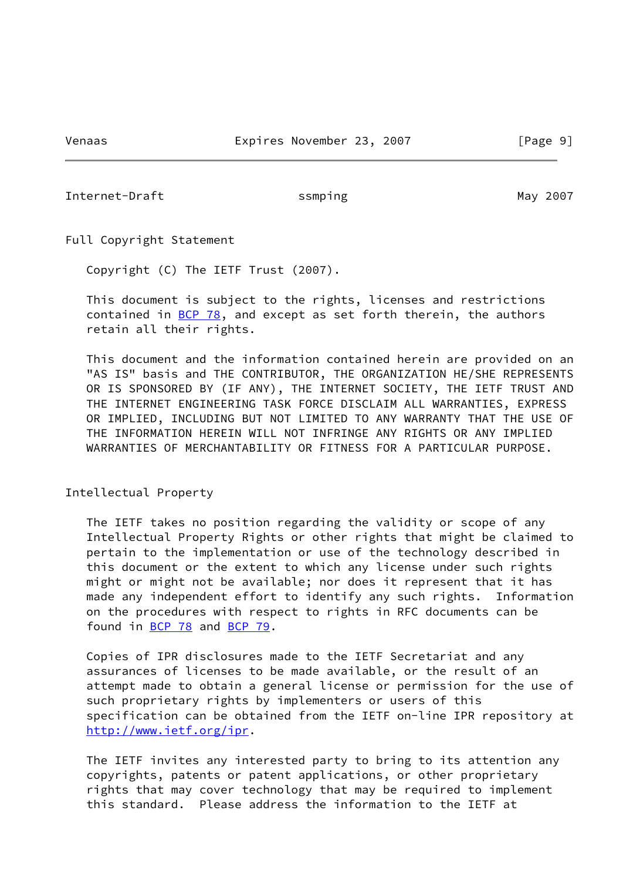<span id="page-10-0"></span>Internet-Draft ssmping Samping May 2007

Full Copyright Statement

Copyright (C) The IETF Trust (2007).

 This document is subject to the rights, licenses and restrictions contained in  $BCP$  78, and except as set forth therein, the authors retain all their rights.

 This document and the information contained herein are provided on an "AS IS" basis and THE CONTRIBUTOR, THE ORGANIZATION HE/SHE REPRESENTS OR IS SPONSORED BY (IF ANY), THE INTERNET SOCIETY, THE IETF TRUST AND THE INTERNET ENGINEERING TASK FORCE DISCLAIM ALL WARRANTIES, EXPRESS OR IMPLIED, INCLUDING BUT NOT LIMITED TO ANY WARRANTY THAT THE USE OF THE INFORMATION HEREIN WILL NOT INFRINGE ANY RIGHTS OR ANY IMPLIED WARRANTIES OF MERCHANTABILITY OR FITNESS FOR A PARTICULAR PURPOSE.

#### Intellectual Property

 The IETF takes no position regarding the validity or scope of any Intellectual Property Rights or other rights that might be claimed to pertain to the implementation or use of the technology described in this document or the extent to which any license under such rights might or might not be available; nor does it represent that it has made any independent effort to identify any such rights. Information on the procedures with respect to rights in RFC documents can be found in [BCP 78](https://datatracker.ietf.org/doc/pdf/bcp78) and [BCP 79](https://datatracker.ietf.org/doc/pdf/bcp79).

 Copies of IPR disclosures made to the IETF Secretariat and any assurances of licenses to be made available, or the result of an attempt made to obtain a general license or permission for the use of such proprietary rights by implementers or users of this specification can be obtained from the IETF on-line IPR repository at <http://www.ietf.org/ipr>.

 The IETF invites any interested party to bring to its attention any copyrights, patents or patent applications, or other proprietary rights that may cover technology that may be required to implement this standard. Please address the information to the IETF at